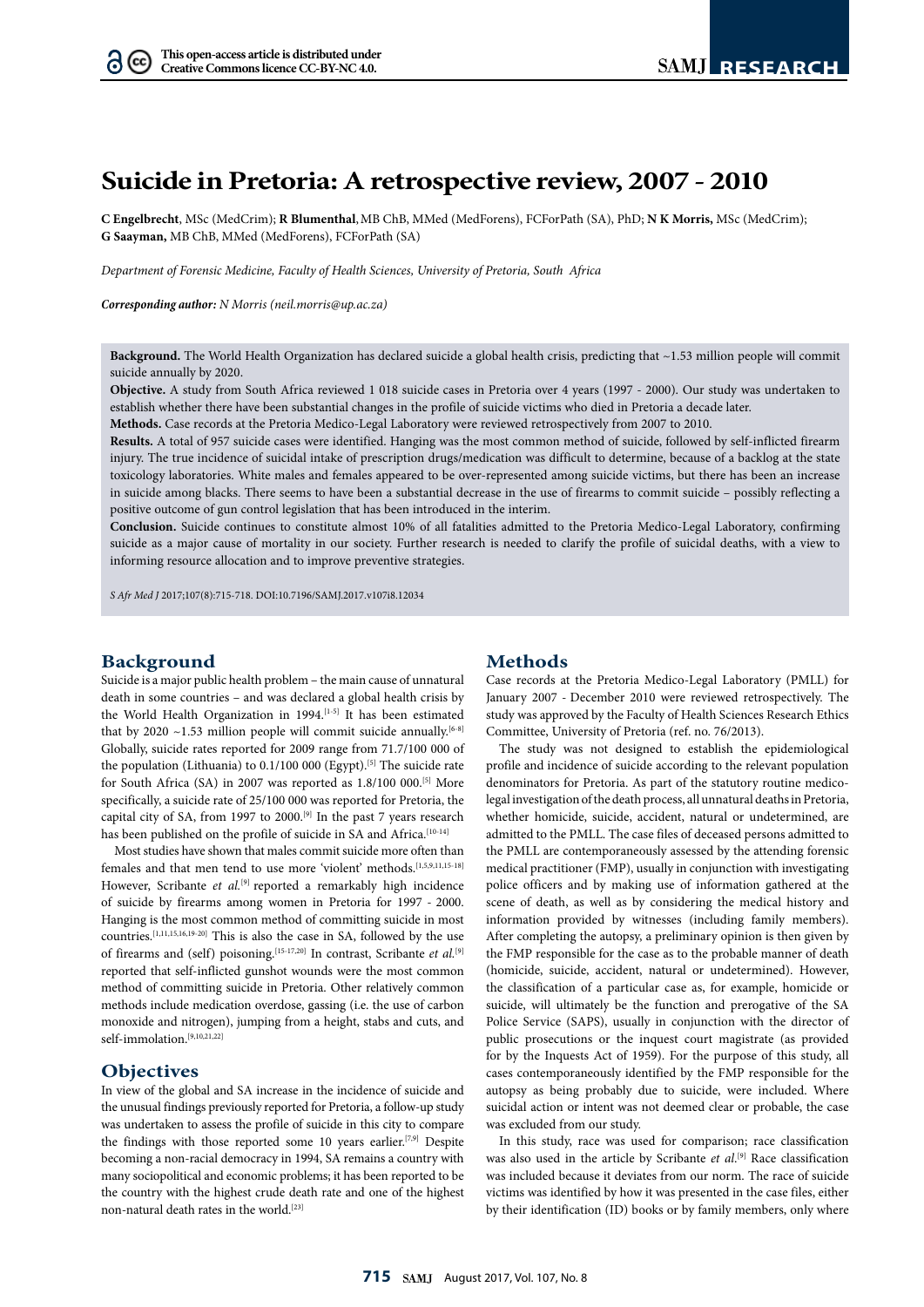$(cc)$ 

# **Suicide in Pretoria: A retrospective review, 2007 - 2010**

**C Engelbrecht**, MSc (MedCrim); **R Blumenthal**,MB ChB, MMed (MedForens), FCForPath (SA), PhD; **N K Morris,** MSc (MedCrim); **G Saayman,** MB ChB, MMed (MedForens), FCForPath (SA)

*Department of Forensic Medicine, Faculty of Health Sciences, University of Pretoria, South Africa* 

*Corresponding author: N Morris ([neil.morris@up.ac.za\)](mailto:neil.morris@up.ac.za)*

**Background.** The World Health Organization has declared suicide a global health crisis, predicting that ~1.53 million people will commit suicide annually by 2020.

**Objective.** A study from South Africa reviewed 1 018 suicide cases in Pretoria over 4 years (1997 - 2000). Our study was undertaken to establish whether there have been substantial changes in the profile of suicide victims who died in Pretoria a decade later.

**Methods.** Case records at the Pretoria Medico-Legal Laboratory were reviewed retrospectively from 2007 to 2010.

**Results.** A total of 957 suicide cases were identified. Hanging was the most common method of suicide, followed by self-inflicted firearm injury. The true incidence of suicidal intake of prescription drugs/medication was difficult to determine, because of a backlog at the state toxicology laboratories. White males and females appeared to be over-represented among suicide victims, but there has been an increase in suicide among blacks. There seems to have been a substantial decrease in the use of firearms to commit suicide – possibly reflecting a positive outcome of gun control legislation that has been introduced in the interim.

**Conclusion.** Suicide continues to constitute almost 10% of all fatalities admitted to the Pretoria Medico-Legal Laboratory, confirming suicide as a major cause of mortality in our society. Further research is needed to clarify the profile of suicidal deaths, with a view to informing resource allocation and to improve preventive strategies.

*S Afr Med J* 2017;107(8):715-718. DOI[:10.7196/SAMJ.](10.7196/SAMJ)2017.v107i8.12034

## **Background**

Suicide is a major public health problem – the main cause of unnatural death in some countries – and was declared a global health crisis by the World Health Organization in 1994.<sup>[1-5]</sup> It has been estimated that by 2020  $\sim$ 1.53 million people will commit suicide annually.<sup>[6-8]</sup> Globally, suicide rates reported for 2009 range from 71.7/100 000 of the population (Lithuania) to 0.1/100 000 (Egypt).<sup>[5]</sup> The suicide rate for South Africa (SA) in 2007 was reported as 1.8/100 000.[5] More specifically, a suicide rate of 25/100 000 was reported for Pretoria, the capital city of SA, from 1997 to 2000.<sup>[9]</sup> In the past 7 years research has been published on the profile of suicide in SA and Africa.<sup>[10-14]</sup>

Most studies have shown that males commit suicide more often than females and that men tend to use more 'violent' methods.[1,5,9,11,15-18] However, Scribante et al.<sup>[9]</sup> reported a remarkably high incidence of suicide by firearms among women in Pretoria for 1997 - 2000. Hanging is the most common method of committing suicide in most countries.[1,11,15,16,19-20] This is also the case in SA, followed by the use of firearms and (self) poisoning.<sup>[15-17,20]</sup> In contrast, Scribante *et al.*<sup>[9]</sup> reported that self-inflicted gunshot wounds were the most common method of committing suicide in Pretoria. Other relatively common methods include medication overdose, gassing (i.e. the use of carbon monoxide and nitrogen), jumping from a height, stabs and cuts, and self-immolation.[9,10,21,22]

## **Objectives**

In view of the global and SA increase in the incidence of suicide and the unusual findings previously reported for Pretoria, a follow-up study was undertaken to assess the profile of suicide in this city to compare the findings with those reported some 10 years earlier.<sup>[7,9]</sup> Despite becoming a non-racial democracy in 1994, SA remains a country with many sociopolitical and economic problems; it has been reported to be the country with the highest crude death rate and one of the highest non-natural death rates in the world.[23]

## **Methods**

Case records at the Pretoria Medico-Legal Laboratory (PMLL) for January 2007 - December 2010 were reviewed retrospectively. The study was approved by the Faculty of Health Sciences Research Ethics Committee, University of Pretoria (ref. no. 76/2013).

The study was not designed to establish the epidemiological profile and incidence of suicide according to the relevant population denominators for Pretoria. As part of the statutory routine medicolegal investigation of the death process, all unnatural deaths in Pretoria, whether homicide, suicide, accident, natural or undetermined, are admitted to the PMLL. The case files of deceased persons admitted to the PMLL are contemporaneously assessed by the attending forensic medical practitioner (FMP), usually in conjunction with investigating police officers and by making use of information gathered at the scene of death, as well as by considering the medical history and information provided by witnesses (including family members). After completing the autopsy, a preliminary opinion is then given by the FMP responsible for the case as to the probable manner of death (homicide, suicide, accident, natural or undetermined). However, the classification of a particular case as, for example, homicide or suicide, will ultimately be the function and prerogative of the SA Police Service (SAPS), usually in conjunction with the director of public prosecutions or the inquest court magistrate (as provided for by the Inquests Act of 1959). For the purpose of this study, all cases contemporaneously identified by the FMP responsible for the autopsy as being probably due to suicide, were included. Where suicidal action or intent was not deemed clear or probable, the case was excluded from our study.

In this study, race was used for comparison; race classification was also used in the article by Scribante *et al*. [9] Race classification was included because it deviates from our norm. The race of suicide victims was identified by how it was presented in the case files, either by their identification (ID) books or by family members, only where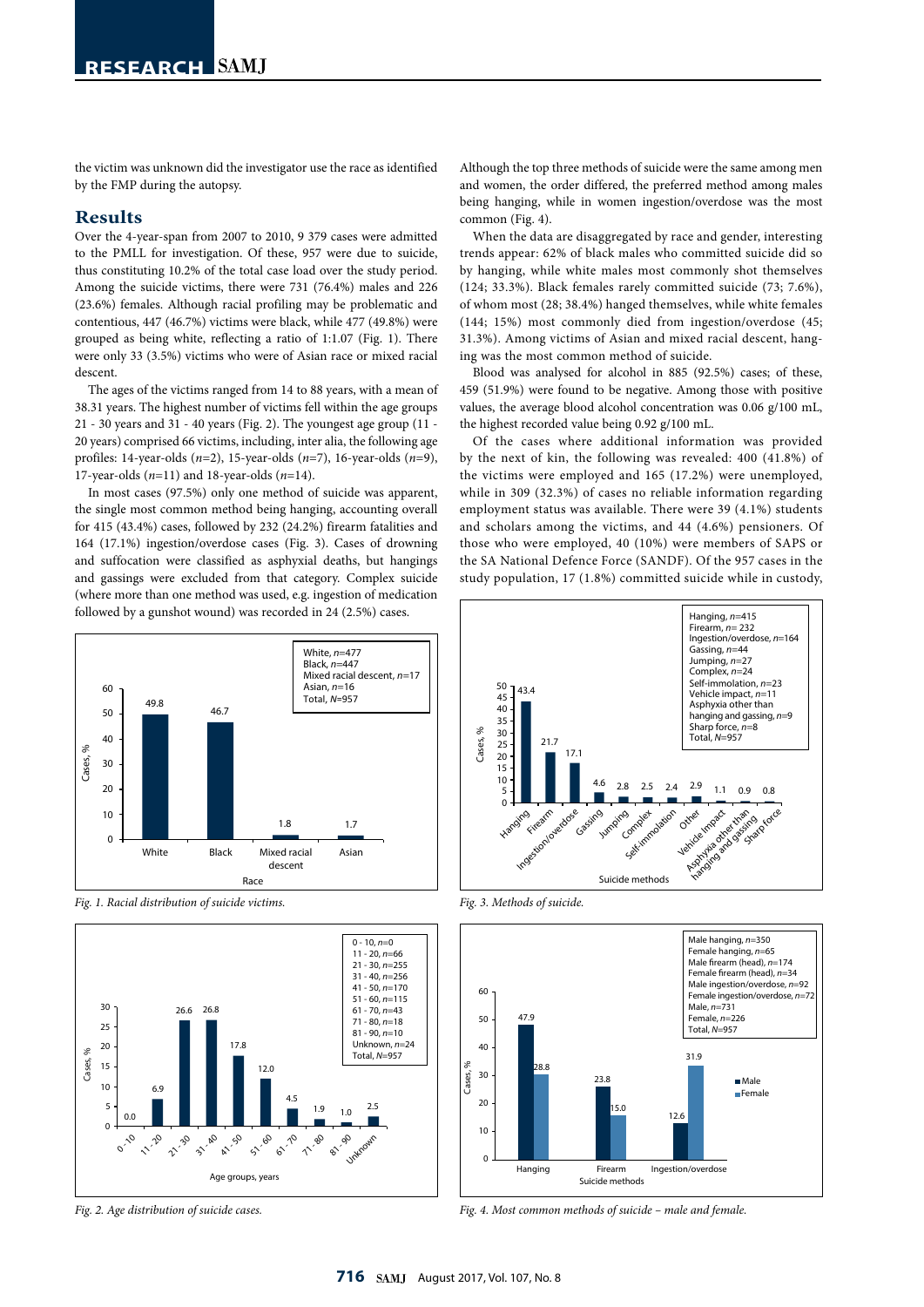the victim was unknown did the investigator use the race as identified by the FMP during the autopsy.

#### **Results**

Over the 4-year-span from 2007 to 2010, 9 379 cases were admitted to the PMLL for investigation. Of these, 957 were due to suicide, thus constituting 10.2% of the total case load over the study period. Among the suicide victims, there were 731 (76.4%) males and 226 (23.6%) females. Although racial profiling may be problematic and contentious, 447 (46.7%) victims were black, while 477 (49.8%) were grouped as being white, reflecting a ratio of 1:1.07 (Fig. 1). There were only 33 (3.5%) victims who were of Asian race or mixed racial descent.

The ages of the victims ranged from 14 to 88 years, with a mean of 38.31 years. The highest number of victims fell within the age groups 21 - 30 years and 31 - 40 years (Fig. 2). The youngest age group (11 - 20 years) comprised 66 victims, including, inter alia, the following age profiles: 14-year-olds (*n*=2), 15-year-olds (*n*=7), 16-year-olds (*n*=9), 17-year-olds (*n*=11) and 18-year-olds (*n*=14).

In most cases (97.5%) only one method of suicide was apparent, the single most common method being hanging, accounting overall for 415 (43.4%) cases, followed by 232 (24.2%) firearm fatalities and 164 (17.1%) ingestion/overdose cases (Fig. 3). Cases of drowning and suffocation were classified as asphyxial deaths, but hangings and gassings were excluded from that category. Complex suicide (where more than one method was used, e.g. ingestion of medication followed by a gunshot wound) was recorded in 24 (2.5%) cases.



*Fig. 1. Racial distribution of suicide victims.*





Although the top three methods of suicide were the same among men and women, the order differed, the preferred method among males being hanging, while in women ingestion/overdose was the most common (Fig. 4).

When the data are disaggregated by race and gender, interesting trends appear: 62% of black males who committed suicide did so by hanging, while white males most commonly shot themselves (124; 33.3%). Black females rarely committed suicide (73; 7.6%), of whom most (28; 38.4%) hanged themselves, while white females (144; 15%) most commonly died from ingestion/overdose (45; 31.3%). Among victims of Asian and mixed racial descent, hanging was the most common method of suicide.

Blood was analysed for alcohol in 885 (92.5%) cases; of these, 459 (51.9%) were found to be negative. Among those with positive values, the average blood alcohol concentration was 0.06 g/100 mL, the highest recorded value being 0.92 g/100 mL.

Of the cases where additional information was provided by the next of kin, the following was revealed: 400 (41.8%) of the victims were employed and 165 (17.2%) were unemployed, while in 309 (32.3%) of cases no reliable information regarding employment status was available. There were 39 (4.1%) students and scholars among the victims, and 44 (4.6%) pensioners. Of those who were employed, 40 (10%) were members of SAPS or the SA National Defence Force (SANDF). Of the 957 cases in the study population, 17 (1.8%) committed suicide while in custody,



*Fig. 3. Methods of suicide.*

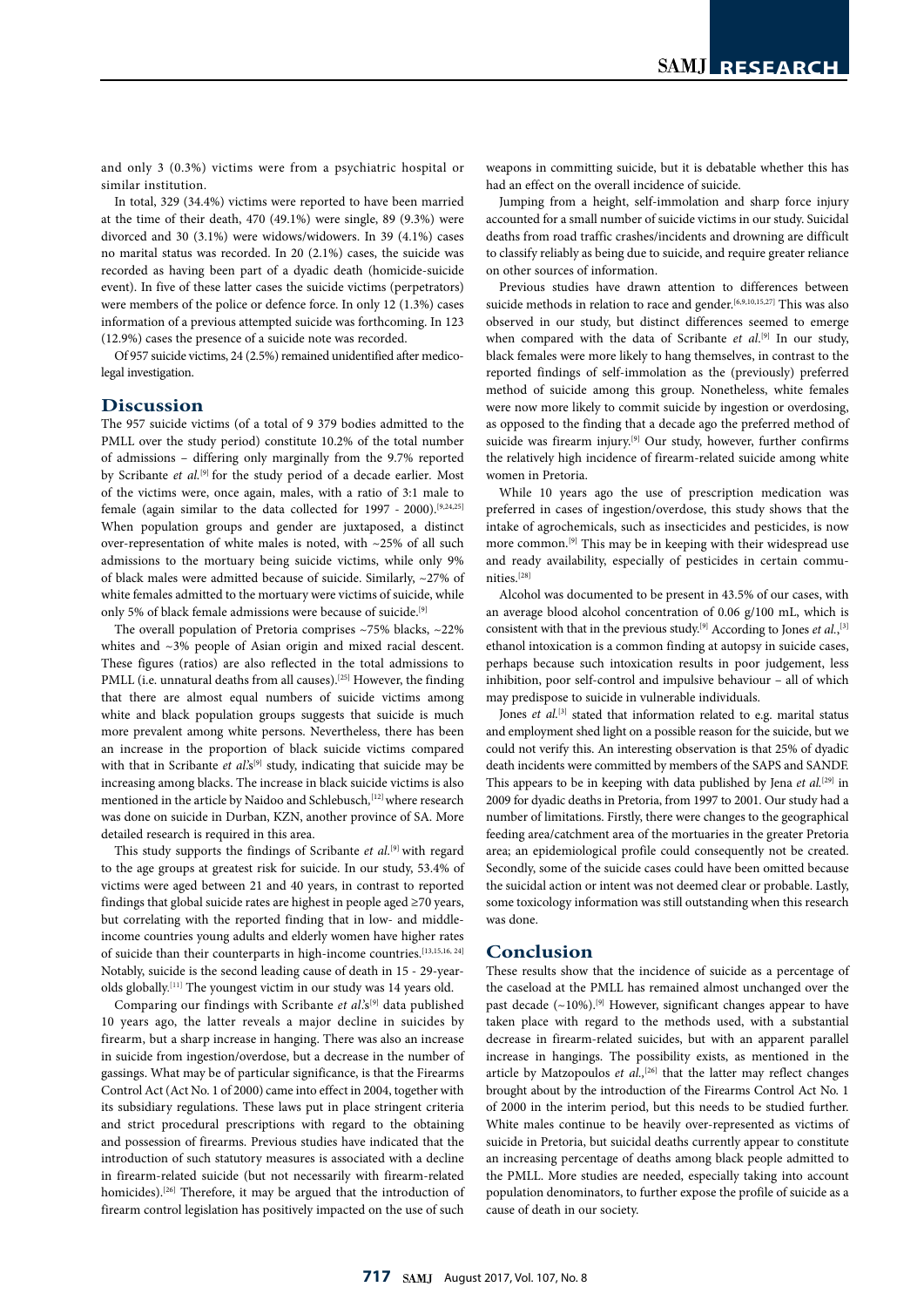and only 3 (0.3%) victims were from a psychiatric hospital or similar institution.

In total, 329 (34.4%) victims were reported to have been married at the time of their death, 470 (49.1%) were single, 89 (9.3%) were divorced and 30 (3.1%) were widows/widowers. In 39 (4.1%) cases no marital status was recorded. In 20 (2.1%) cases, the suicide was recorded as having been part of a dyadic death (homicide-suicide event). In five of these latter cases the suicide victims (perpetrators) were members of the police or defence force. In only 12 (1.3%) cases information of a previous attempted suicide was forthcoming. In 123 (12.9%) cases the presence of a suicide note was recorded.

Of 957 suicide victims, 24 (2.5%) remained unidentified after medicolegal investigation.

## **Discussion**

The 957 suicide victims (of a total of 9 379 bodies admitted to the PMLL over the study period) constitute 10.2% of the total number of admissions – differing only marginally from the 9.7% reported by Scribante *et al.*[9] for the study period of a decade earlier*.* Most of the victims were, once again, males, with a ratio of 3:1 male to female (again similar to the data collected for 1997 - 2000).[9,24,25] When population groups and gender are juxtaposed, a distinct over-representation of white males is noted, with ~25% of all such admissions to the mortuary being suicide victims, while only 9% of black males were admitted because of suicide. Similarly, ~27% of white females admitted to the mortuary were victims of suicide, while only 5% of black female admissions were because of suicide.<sup>[9]</sup>

The overall population of Pretoria comprises ~75% blacks, ~22% whites and ~3% people of Asian origin and mixed racial descent. These figures (ratios) are also reflected in the total admissions to PMLL (i.e. unnatural deaths from all causes).<sup>[25]</sup> However, the finding that there are almost equal numbers of suicide victims among white and black population groups suggests that suicide is much more prevalent among white persons. Nevertheless, there has been an increase in the proportion of black suicide victims compared with that in Scribante et al's<sup>[9]</sup> study, indicating that suicide may be increasing among blacks. The increase in black suicide victims is also mentioned in the article by Naidoo and Schlebusch*,* [12] where research was done on suicide in Durban, KZN, another province of SA. More detailed research is required in this area.

This study supports the findings of Scribante *et al.*[9] with regard to the age groups at greatest risk for suicide. In our study, 53.4% of victims were aged between 21 and 40 years, in contrast to reported findings that global suicide rates are highest in people aged ≥70 years, but correlating with the reported finding that in low- and middleincome countries young adults and elderly women have higher rates of suicide than their counterparts in high-income countries.[13,15,16, 24] Notably, suicide is the second leading cause of death in 15 - 29-yearolds globally.<sup>[11]</sup> The youngest victim in our study was 14 years old.

Comparing our findings with Scribante et al.'s<sup>[9]</sup> data published 10 years ago, the latter reveals a major decline in suicides by firearm, but a sharp increase in hanging. There was also an increase in suicide from ingestion/overdose, but a decrease in the number of gassings. What may be of particular significance, is that the Firearms Control Act (Act No. 1 of 2000) came into effect in 2004, together with its subsidiary regulations. These laws put in place stringent criteria and strict procedural prescriptions with regard to the obtaining and possession of firearms. Previous studies have indicated that the introduction of such statutory measures is associated with a decline in firearm-related suicide (but not necessarily with firearm-related homicides).<sup>[26]</sup> Therefore, it may be argued that the introduction of firearm control legislation has positively impacted on the use of such

weapons in committing suicide, but it is debatable whether this has had an effect on the overall incidence of suicide.

Jumping from a height, self-immolation and sharp force injury accounted for a small number of suicide victims in our study. Suicidal deaths from road traffic crashes/incidents and drowning are difficult to classify reliably as being due to suicide, and require greater reliance on other sources of information.

Previous studies have drawn attention to differences between suicide methods in relation to race and gender.<sup>[6,9,10,15,27]</sup> This was also observed in our study, but distinct differences seemed to emerge when compared with the data of Scribante et al.<sup>[9]</sup> In our study, black females were more likely to hang themselves, in contrast to the reported findings of self-immolation as the (previously) preferred method of suicide among this group. Nonetheless, white females were now more likely to commit suicide by ingestion or overdosing, as opposed to the finding that a decade ago the preferred method of suicide was firearm injury.<sup>[9]</sup> Our study, however, further confirms the relatively high incidence of firearm-related suicide among white women in Pretoria.

While 10 years ago the use of prescription medication was preferred in cases of ingestion/overdose, this study shows that the intake of agrochemicals, such as insecticides and pesticides, is now more common.[9] This may be in keeping with their widespread use and ready availability, especially of pesticides in certain communities.<sup>[28]</sup>

Alcohol was documented to be present in 43.5% of our cases, with an average blood alcohol concentration of 0.06 g/100 mL, which is consistent with that in the previous study.[9] According to Jones *et al.*, [3] ethanol intoxication is a common finding at autopsy in suicide cases, perhaps because such intoxication results in poor judgement, less inhibition, poor self-control and impulsive behaviour – all of which may predispose to suicide in vulnerable individuals.

Jones *et al.*<sup>[3]</sup> stated that information related to e.g. marital status and employment shed light on a possible reason for the suicide, but we could not verify this. An interesting observation is that 25% of dyadic death incidents were committed by members of the SAPS and SANDF. This appears to be in keeping with data published by Jena *et al.*[29] in 2009 for dyadic deaths in Pretoria, from 1997 to 2001. Our study had a number of limitations. Firstly, there were changes to the geographical feeding area/catchment area of the mortuaries in the greater Pretoria area; an epidemiological profile could consequently not be created. Secondly, some of the suicide cases could have been omitted because the suicidal action or intent was not deemed clear or probable. Lastly, some toxicology information was still outstanding when this research was done.

## **Conclusion**

These results show that the incidence of suicide as a percentage of the caseload at the PMLL has remained almost unchanged over the past decade  $(-10\%)$ .<sup>[9]</sup> However, significant changes appear to have taken place with regard to the methods used, with a substantial decrease in firearm-related suicides, but with an apparent parallel increase in hangings. The possibility exists, as mentioned in the article by Matzopoulos *et al.*,<sup>[26]</sup> that the latter may reflect changes brought about by the introduction of the Firearms Control Act No. 1 of 2000 in the interim period, but this needs to be studied further. White males continue to be heavily over-represented as victims of suicide in Pretoria, but suicidal deaths currently appear to constitute an increasing percentage of deaths among black people admitted to the PMLL. More studies are needed, especially taking into account population denominators, to further expose the profile of suicide as a cause of death in our society.